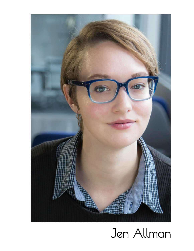

# Jen Allman